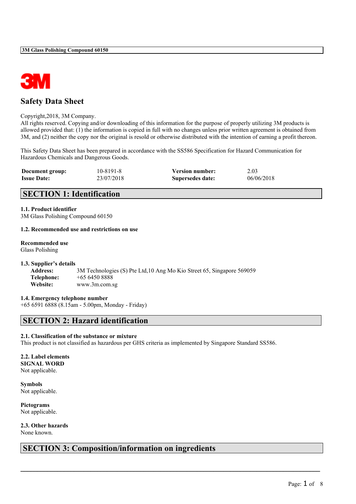

# **Safety Data Sheet**

#### Copyright,2018, 3M Company.

All rights reserved. Copying and/or downloading of this information for the purpose of properly utilizing 3M products is allowed provided that: (1) the information is copied in full with no changes unless prior written agreement is obtained from 3M, and (2) neither the copy nor the original is resold or otherwise distributed with the intention of earning a profit thereon.

This Safety Data Sheet has been prepared in accordance with the SS586 Specification for Hazard Communication for Hazardous Chemicals and Dangerous Goods.

| Document group:    | 10-8191-8  | <b>Version number:</b> | 2.03       |
|--------------------|------------|------------------------|------------|
| <b>Issue Date:</b> | 23/07/2018 | Supersedes date:       | 06/06/2018 |

# **SECTION 1: Identification**

#### **1.1. Product identifier**

3M Glass Polishing Compound 60150

#### **1.2. Recommended use and restrictions on use**

#### **Recommended use**

Glass Polishing

#### **1.3. Supplier's details**

**Address:** 3M Technologies (S) Pte Ltd,10 Ang Mo Kio Street 65, Singapore 569059 **Telephone:** +65 6450 8888 **Website:** www.3m.com.sg

#### **1.4. Emergency telephone number**

+65 6591 6888 (8.15am - 5.00pm, Monday - Friday)

## **SECTION 2: Hazard identification**

#### **2.1. Classification of the substance or mixture**

This product is not classified as hazardous per GHS criteria as implemented by Singapore Standard SS586.

 $\mathcal{L}_\mathcal{L} = \{ \mathcal{L}_\mathcal{L} = \{ \mathcal{L}_\mathcal{L} = \{ \mathcal{L}_\mathcal{L} = \{ \mathcal{L}_\mathcal{L} = \{ \mathcal{L}_\mathcal{L} = \{ \mathcal{L}_\mathcal{L} = \{ \mathcal{L}_\mathcal{L} = \{ \mathcal{L}_\mathcal{L} = \{ \mathcal{L}_\mathcal{L} = \{ \mathcal{L}_\mathcal{L} = \{ \mathcal{L}_\mathcal{L} = \{ \mathcal{L}_\mathcal{L} = \{ \mathcal{L}_\mathcal{L} = \{ \mathcal{L}_\mathcal{$ 

#### **2.2. Label elements SIGNAL WORD** Not applicable.

**Symbols** Not applicable.

**Pictograms** Not applicable.

**2.3. Other hazards** None known.

# **SECTION 3: Composition/information on ingredients**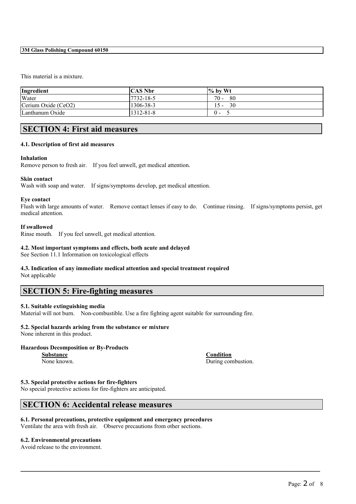#### **3M Glass Polishing Compound 60150**

#### This material is a mixture.

| Ingredient          | <b>CAS Nbr</b> | $\frac{1}{2}$ by Wt |
|---------------------|----------------|---------------------|
| Water               | 7732-18-5      | $70 -$<br>80        |
| Cerium Oxide (CeO2) | 1306-38-3      | 30<br>$15 -$        |
| Lanthanum Oxide     | 1312-81-8      | $\Omega$ -          |

# **SECTION 4: First aid measures**

#### **4.1. Description of first aid measures**

#### **Inhalation**

Remove person to fresh air. If you feel unwell, get medical attention.

#### **Skin contact**

Wash with soap and water. If signs/symptoms develop, get medical attention.

#### **Eye contact**

Flush with large amounts of water. Remove contact lenses if easy to do. Continue rinsing. If signs/symptoms persist, get medical attention.

 $\mathcal{L}_\mathcal{L} = \{ \mathcal{L}_\mathcal{L} = \{ \mathcal{L}_\mathcal{L} = \{ \mathcal{L}_\mathcal{L} = \{ \mathcal{L}_\mathcal{L} = \{ \mathcal{L}_\mathcal{L} = \{ \mathcal{L}_\mathcal{L} = \{ \mathcal{L}_\mathcal{L} = \{ \mathcal{L}_\mathcal{L} = \{ \mathcal{L}_\mathcal{L} = \{ \mathcal{L}_\mathcal{L} = \{ \mathcal{L}_\mathcal{L} = \{ \mathcal{L}_\mathcal{L} = \{ \mathcal{L}_\mathcal{L} = \{ \mathcal{L}_\mathcal{$ 

#### **If swallowed**

Rinse mouth. If you feel unwell, get medical attention.

#### **4.2. Most important symptoms and effects, both acute and delayed**

See Section 11.1 Information on toxicological effects

# **4.3. Indication of any immediate medical attention and special treatment required**

Not applicable

## **SECTION 5: Fire-fighting measures**

#### **5.1. Suitable extinguishing media**

Material will not burn. Non-combustible. Use a fire fighting agent suitable for surrounding fire.

## **5.2. Special hazards arising from the substance or mixture**

None inherent in this product.

#### **Hazardous Decomposition or By-Products**

**Substance Condition** None known. During combustion.

#### **5.3. Special protective actions for fire-fighters**

No special protective actions for fire-fighters are anticipated.

## **SECTION 6: Accidental release measures**

#### **6.1. Personal precautions, protective equipment and emergency procedures** Ventilate the area with fresh air. Observe precautions from other sections.

## **6.2. Environmental precautions**

Avoid release to the environment.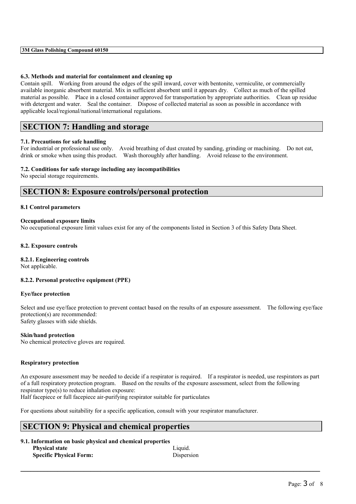#### **6.3. Methods and material for containment and cleaning up**

Contain spill. Working from around the edges of the spill inward, cover with bentonite, vermiculite, or commercially available inorganic absorbent material. Mix in sufficient absorbent until it appears dry. Collect as much of the spilled material as possible. Place in a closed container approved for transportation by appropriate authorities. Clean up residue with detergent and water. Seal the container. Dispose of collected material as soon as possible in accordance with applicable local/regional/national/international regulations.

## **SECTION 7: Handling and storage**

#### **7.1. Precautions for safe handling**

For industrial or professional use only. Avoid breathing of dust created by sanding, grinding or machining. Do not eat, drink or smoke when using this product. Wash thoroughly after handling. Avoid release to the environment.

#### **7.2. Conditions for safe storage including any incompatibilities**

No special storage requirements.

## **SECTION 8: Exposure controls/personal protection**

#### **8.1 Control parameters**

#### **Occupational exposure limits**

No occupational exposure limit values exist for any of the components listed in Section 3 of this Safety Data Sheet.

#### **8.2. Exposure controls**

#### **8.2.1. Engineering controls**

Not applicable.

#### **8.2.2. Personal protective equipment (PPE)**

#### **Eye/face protection**

Select and use eye/face protection to prevent contact based on the results of an exposure assessment. The following eye/face protection(s) are recommended: Safety glasses with side shields.

#### **Skin/hand protection**

No chemical protective gloves are required.

#### **Respiratory protection**

An exposure assessment may be needed to decide if a respirator is required. If a respirator is needed, use respirators as part of a full respiratory protection program. Based on the results of the exposure assessment, select from the following respirator type(s) to reduce inhalation exposure:

 $\mathcal{L}_\mathcal{L} = \{ \mathcal{L}_\mathcal{L} = \{ \mathcal{L}_\mathcal{L} = \{ \mathcal{L}_\mathcal{L} = \{ \mathcal{L}_\mathcal{L} = \{ \mathcal{L}_\mathcal{L} = \{ \mathcal{L}_\mathcal{L} = \{ \mathcal{L}_\mathcal{L} = \{ \mathcal{L}_\mathcal{L} = \{ \mathcal{L}_\mathcal{L} = \{ \mathcal{L}_\mathcal{L} = \{ \mathcal{L}_\mathcal{L} = \{ \mathcal{L}_\mathcal{L} = \{ \mathcal{L}_\mathcal{L} = \{ \mathcal{L}_\mathcal{$ 

Half facepiece or full facepiece air-purifying respirator suitable for particulates

For questions about suitability for a specific application, consult with your respirator manufacturer.

## **SECTION 9: Physical and chemical properties**

| 9.1. Information on basic physical and chemical properties |            |  |  |  |
|------------------------------------------------------------|------------|--|--|--|
| <b>Physical state</b>                                      | Liquid.    |  |  |  |
| <b>Specific Physical Form:</b>                             | Dispersion |  |  |  |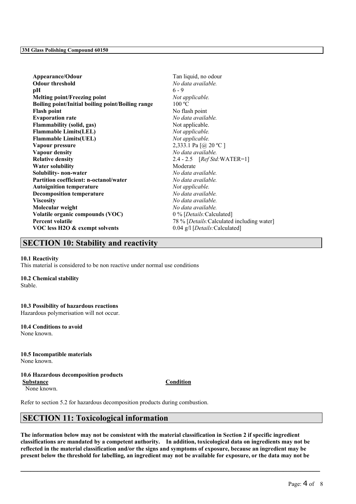| Appearance/Odour                                  | Tan liquid, no odour                       |
|---------------------------------------------------|--------------------------------------------|
| <b>Odour threshold</b>                            | No data available.                         |
| pН                                                | $6 - 9$                                    |
| <b>Melting point/Freezing point</b>               | Not applicable.                            |
| Boiling point/Initial boiling point/Boiling range | 100 °C                                     |
| <b>Flash point</b>                                | No flash point                             |
| <b>Evaporation rate</b>                           | No data available.                         |
| <b>Flammability (solid, gas)</b>                  | Not applicable.                            |
| <b>Flammable Limits(LEL)</b>                      | Not applicable.                            |
| <b>Flammable Limits(UEL)</b>                      | Not applicable.                            |
| Vapour pressure                                   | 2,333.1 Pa [@ 20 °C]                       |
| <b>Vapour density</b>                             | No data available.                         |
| <b>Relative density</b>                           | 2.4 - 2.5 $[RefStd:WATER=1]$               |
| <b>Water solubility</b>                           | Moderate                                   |
| Solubility- non-water                             | No data available.                         |
| Partition coefficient: n-octanol/water            | No data available.                         |
| <b>Autoignition temperature</b>                   | Not applicable.                            |
| <b>Decomposition temperature</b>                  | No data available.                         |
| <b>Viscosity</b>                                  | No data available.                         |
| Molecular weight                                  | No data available.                         |
| Volatile organic compounds (VOC)                  | 0 % [Details: Calculated]                  |
| <b>Percent volatile</b>                           | 78 % [Details: Calculated including water] |
| VOC less H2O & exempt solvents                    | 0.04 g/l [Details: Calculated]             |
|                                                   |                                            |

# **SECTION 10: Stability and reactivity**

#### **10.1 Reactivity**

This material is considered to be non reactive under normal use conditions

## **10.2 Chemical stability**

Stable.

# **10.3 Possibility of hazardous reactions**

Hazardous polymerisation will not occur.

#### **10.4 Conditions to avoid** None known.

**10.5 Incompatible materials**

None known.

#### **10.6 Hazardous decomposition products Substance Condition**

None known.

Refer to section 5.2 for hazardous decomposition products during combustion.

# **SECTION 11: Toxicological information**

The information below may not be consistent with the material classification in Section 2 if specific ingredient **classifications are mandated by a competent authority. In addition, toxicological data on ingredients may not be** reflected in the material classification and/or the signs and symptoms of exposure, because an ingredient may be present below the threshold for labelling, an ingredient may not be available for exposure, or the data may not be

 $\mathcal{L}_\mathcal{L} = \{ \mathcal{L}_\mathcal{L} = \{ \mathcal{L}_\mathcal{L} = \{ \mathcal{L}_\mathcal{L} = \{ \mathcal{L}_\mathcal{L} = \{ \mathcal{L}_\mathcal{L} = \{ \mathcal{L}_\mathcal{L} = \{ \mathcal{L}_\mathcal{L} = \{ \mathcal{L}_\mathcal{L} = \{ \mathcal{L}_\mathcal{L} = \{ \mathcal{L}_\mathcal{L} = \{ \mathcal{L}_\mathcal{L} = \{ \mathcal{L}_\mathcal{L} = \{ \mathcal{L}_\mathcal{L} = \{ \mathcal{L}_\mathcal{$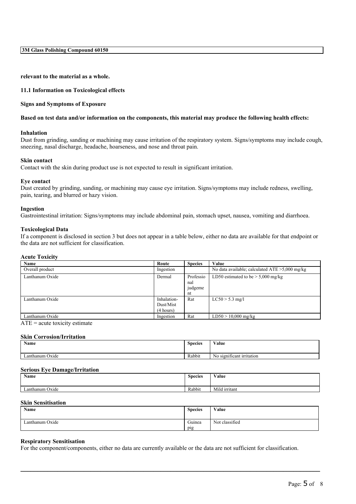**3M Glass Polishing Compound 60150**

**relevant to the material as a whole.**

#### **11.1 Information on Toxicological effects**

#### **Signs and Symptoms of Exposure**

#### Based on test data and/or information on the components, this material may produce the following health effects:

#### **Inhalation**

Dust from grinding, sanding or machining may cause irritation of the respiratory system. Signs/symptoms may include cough, sneezing, nasal discharge, headache, hoarseness, and nose and throat pain.

#### **Skin contact**

Contact with the skin during product use is not expected to result in significant irritation.

#### **Eye contact**

Dust created by grinding, sanding, or machining may cause eye irritation. Signs/symptoms may include redness, swelling, pain, tearing, and blurred or hazy vision.

#### **Ingestion**

Gastrointestinal irritation: Signs/symptoms may include abdominal pain, stomach upset, nausea, vomiting and diarrhoea.

#### **Toxicological Data**

If a component is disclosed in section 3 but does not appear in a table below, either no data are available for that endpoint or the data are not sufficient for classification.

#### **Acute Toxicity**

| <b>Name</b>     | Route       | <b>Species</b> | Value                                             |
|-----------------|-------------|----------------|---------------------------------------------------|
| Overall product | Ingestion   |                | No data available; calculated $ATE > 5,000$ mg/kg |
| Lanthanum Oxide | Dermal      | Professio      | LD50 estimated to be $> 5,000$ mg/kg              |
|                 |             | nal            |                                                   |
|                 |             | judgeme        |                                                   |
|                 |             | nt             |                                                   |
| Lanthanum Oxide | Inhalation- | Rat            | $LC50 > 5.3$ mg/l                                 |
|                 | Dust/Mist   |                |                                                   |
|                 | (4 hours)   |                |                                                   |
| Lanthanum Oxide | Ingestion   | Rat            | $LD50 > 10,000$ mg/kg                             |

 $ATE = acute$  toxicity estimate

#### **Skin Corrosion/Irritation**

| <b>Name</b>     | $\sim$<br><b>Species</b> | Value                          |
|-----------------|--------------------------|--------------------------------|
| Lanthanum Oxide | Rabbit                   | ) significant irritation<br>NO |

#### **Serious Eye Damage/Irritation**

| Name            | $\sim$<br><b>Species</b> | $X$ $Y$ $Y$<br>Value |
|-----------------|--------------------------|----------------------|
|                 |                          |                      |
| Lanthanum Oxide | Rabbit                   | Mild irritant        |

#### **Skin Sensitisation**

| $\mathbf{X}$<br>Name | <b>Species</b> | Value          |
|----------------------|----------------|----------------|
| Lanthanum Oxide      | Guinea<br>pig  | Not classified |

 $\mathcal{L}_\mathcal{L} = \{ \mathcal{L}_\mathcal{L} = \{ \mathcal{L}_\mathcal{L} = \{ \mathcal{L}_\mathcal{L} = \{ \mathcal{L}_\mathcal{L} = \{ \mathcal{L}_\mathcal{L} = \{ \mathcal{L}_\mathcal{L} = \{ \mathcal{L}_\mathcal{L} = \{ \mathcal{L}_\mathcal{L} = \{ \mathcal{L}_\mathcal{L} = \{ \mathcal{L}_\mathcal{L} = \{ \mathcal{L}_\mathcal{L} = \{ \mathcal{L}_\mathcal{L} = \{ \mathcal{L}_\mathcal{L} = \{ \mathcal{L}_\mathcal{$ 

#### **Respiratory Sensitisation**

For the component/components, either no data are currently available or the data are not sufficient for classification.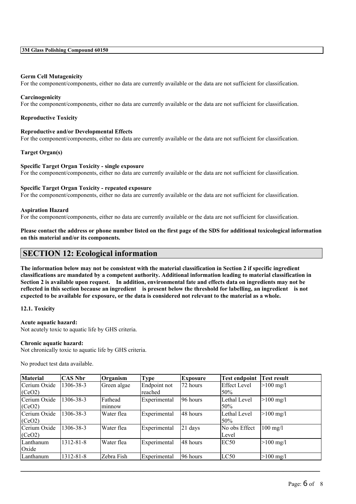#### **Germ Cell Mutagenicity**

For the component/components, either no data are currently available or the data are not sufficient for classification.

#### **Carcinogenicity**

For the component/components, either no data are currently available or the data are not sufficient for classification.

#### **Reproductive Toxicity**

#### **Reproductive and/or Developmental Effects**

For the component/components, either no data are currently available or the data are not sufficient for classification.

#### **Target Organ(s)**

#### **Specific Target Organ Toxicity - single exposure**

For the component/components, either no data are currently available or the data are not sufficient for classification.

#### **Specific Target Organ Toxicity - repeated exposure**

For the component/components, either no data are currently available or the data are not sufficient for classification.

#### **Aspiration Hazard**

For the component/components, either no data are currently available or the data are not sufficient for classification.

Please contact the address or phone number listed on the first page of the SDS for additional toxicological information **on this material and/or its components.**

## **SECTION 12: Ecological information**

The information below may not be consistent with the material classification in Section 2 if specific ingredient **classifications are mandated by a competent authority. Additional information leading to material classification in** Section 2 is available upon request. In addition, environmental fate and effects data on ingredients may not be reflected in this section because an ingredient is present below the threshold for labelling, an ingredient is not expected to be available for exposure, or the data is considered not relevant to the material as a whole.

#### **12.1. Toxicity**

#### **Acute aquatic hazard:**

Not acutely toxic to aquatic life by GHS criteria.

#### **Chronic aquatic hazard:**

Not chronically toxic to aquatic life by GHS criteria.

No product test data available.

| <b>Material</b> | <b>CAS Nbr</b> | Organism    | <b>Type</b>  | <b>Exposure</b> | <b>Test endpoint</b> | <b>Test result</b>     |
|-----------------|----------------|-------------|--------------|-----------------|----------------------|------------------------|
| Cerium Oxide    | 1306-38-3      | Green algae | Endpoint not | 72 hours        | Effect Level         | $>100 \text{ mg/l}$    |
| (CeO2)          |                |             | reached      |                 | 50%                  |                        |
| Cerium Oxide    | 1306-38-3      | Fathead     | Experimental | 96 hours        | Lethal Level         | $>100 \text{ mg/l}$    |
| (CeO2)          |                | lmınnow     |              |                 | 50%                  |                        |
| Cerium Oxide    | 1306-38-3      | Water flea  | Experimental | 148 hours       | Lethal Level         | $>100 \text{ mg/l}$    |
| (CeO2)          |                |             |              |                 | 50%                  |                        |
| Cerium Oxide    | 1306-38-3      | Water flea  | Experimental | $ 21$ days      | No obs Effect        | $100$ mg/l             |
| (CeO2)          |                |             |              |                 | Level                |                        |
| Lanthanum       | 1312-81-8      | Water flea  | Experimental | 148 hours       | EC50                 | $>100 \,\mathrm{mg}/l$ |
| Oxide           |                |             |              |                 |                      |                        |
| Lanthanum       | 1312-81-8      | Zebra Fish  | Experimental | 196 hours       | LC50                 | $>100 \text{ mg/l}$    |

 $\mathcal{L}_\mathcal{L} = \{ \mathcal{L}_\mathcal{L} = \{ \mathcal{L}_\mathcal{L} = \{ \mathcal{L}_\mathcal{L} = \{ \mathcal{L}_\mathcal{L} = \{ \mathcal{L}_\mathcal{L} = \{ \mathcal{L}_\mathcal{L} = \{ \mathcal{L}_\mathcal{L} = \{ \mathcal{L}_\mathcal{L} = \{ \mathcal{L}_\mathcal{L} = \{ \mathcal{L}_\mathcal{L} = \{ \mathcal{L}_\mathcal{L} = \{ \mathcal{L}_\mathcal{L} = \{ \mathcal{L}_\mathcal{L} = \{ \mathcal{L}_\mathcal{$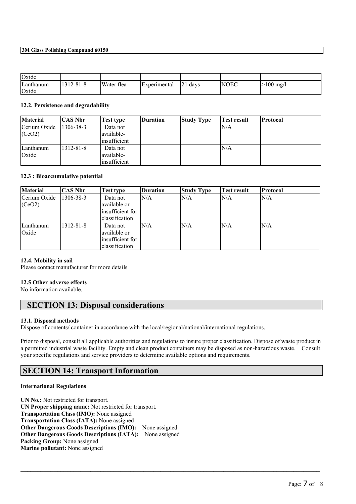#### **3M Glass Polishing Compound 60150**

| Oxide              |           |            |                     |             |      |             |
|--------------------|-----------|------------|---------------------|-------------|------|-------------|
| Lanthanum<br>Oxide | 1312-81-8 | Water flea | <i>Experimental</i> | 121<br>days | NOEC | $>100$ mg/l |

#### **12.2. Persistence and degradability**

| <b>Material</b> | CAS Nbr   | Test type           | Duration | <b>Study Type</b> | Test result | Protocol |
|-----------------|-----------|---------------------|----------|-------------------|-------------|----------|
| Cerium Oxide    | 1306-38-3 | Data not            |          |                   | IN/A        |          |
| (CeO2)          |           | lavailable-         |          |                   |             |          |
|                 |           | linsufficient       |          |                   |             |          |
| Lanthanum       | 1312-81-8 | Data not            |          |                   | ln/a        |          |
| Oxide           |           | lavailable-         |          |                   |             |          |
|                 |           | <i>insufficient</i> |          |                   |             |          |

#### **12.3 : Bioaccumulative potential**

| <b>Material</b> | CAS Nbr   | Test type         | <b>Duration</b> | <b>Study Type</b> | Test result | Protocol |
|-----------------|-----------|-------------------|-----------------|-------------------|-------------|----------|
| Cerium Oxide    | 1306-38-3 | Data not          | N/A             | N/A               | lN/A        | N/A      |
| (CeO2)          |           | available or      |                 |                   |             |          |
|                 |           | linsufficient for |                 |                   |             |          |
|                 |           | lclassification   |                 |                   |             |          |
| Lanthanum       | 1312-81-8 | Data not          | N/A             | N/A               | lN/A        | N/A      |
| Oxide           |           | lavailable or     |                 |                   |             |          |
|                 |           | insufficient for  |                 |                   |             |          |
|                 |           | lclassification   |                 |                   |             |          |

#### **12.4. Mobility in soil**

Please contact manufacturer for more details

#### **12.5 Other adverse effects**

No information available.

## **SECTION 13: Disposal considerations**

#### **13.1. Disposal methods**

Dispose of contents/ container in accordance with the local/regional/national/international regulations.

Prior to disposal, consult all applicable authorities and regulations to insure proper classification. Dispose of waste product in a permitted industrial waste facility. Empty and clean product containers may be disposed as non-hazardous waste. Consult your specific regulations and service providers to determine available options and requirements.

 $\mathcal{L}_\mathcal{L} = \{ \mathcal{L}_\mathcal{L} = \{ \mathcal{L}_\mathcal{L} = \{ \mathcal{L}_\mathcal{L} = \{ \mathcal{L}_\mathcal{L} = \{ \mathcal{L}_\mathcal{L} = \{ \mathcal{L}_\mathcal{L} = \{ \mathcal{L}_\mathcal{L} = \{ \mathcal{L}_\mathcal{L} = \{ \mathcal{L}_\mathcal{L} = \{ \mathcal{L}_\mathcal{L} = \{ \mathcal{L}_\mathcal{L} = \{ \mathcal{L}_\mathcal{L} = \{ \mathcal{L}_\mathcal{L} = \{ \mathcal{L}_\mathcal{$ 

## **SECTION 14: Transport Information**

#### **International Regulations**

**UN No.:** Not restricted for transport. **UN Proper shipping name:** Not restricted for transport. **Transportation Class (IMO):** None assigned **Transportation Class (IATA):** None assigned **Other Dangerous Goods Descriptions (IMO):** None assigned **Other Dangerous Goods Descriptions (IATA):** None assigned **Packing Group:** None assigned **Marine pollutant:** None assigned